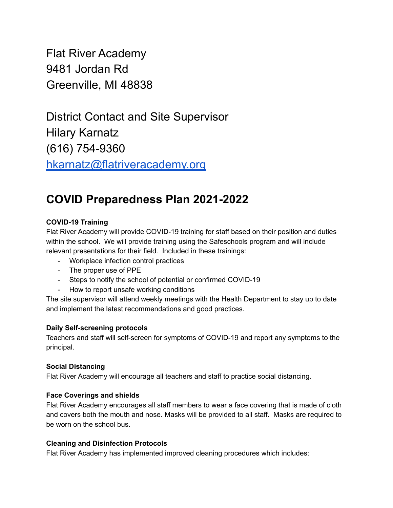Flat River Academy 9481 Jordan Rd Greenville, MI 48838

District Contact and Site Supervisor Hilary Karnatz (616) 754-9360 [hkarnatz@flatriveracademy.org](mailto:hkarnatz@flatriveracademy.org)

# **COVID Preparedness Plan 2021-2022**

## **COVID-19 Training**

Flat River Academy will provide COVID-19 training for staff based on their position and duties within the school. We will provide training using the Safeschools program and will include relevant presentations for their field. Included in these trainings:

- Workplace infection control practices
- The proper use of PPE
- Steps to notify the school of potential or confirmed COVID-19
- How to report unsafe working conditions

The site supervisor will attend weekly meetings with the Health Department to stay up to date and implement the latest recommendations and good practices.

## **Daily Self-screening protocols**

Teachers and staff will self-screen for symptoms of COVID-19 and report any symptoms to the principal.

## **Social Distancing**

Flat River Academy will encourage all teachers and staff to practice social distancing.

## **Face Coverings and shields**

Flat River Academy encourages all staff members to wear a face covering that is made of cloth and covers both the mouth and nose. Masks will be provided to all staff. Masks are required to be worn on the school bus.

## **Cleaning and Disinfection Protocols**

Flat River Academy has implemented improved cleaning procedures which includes: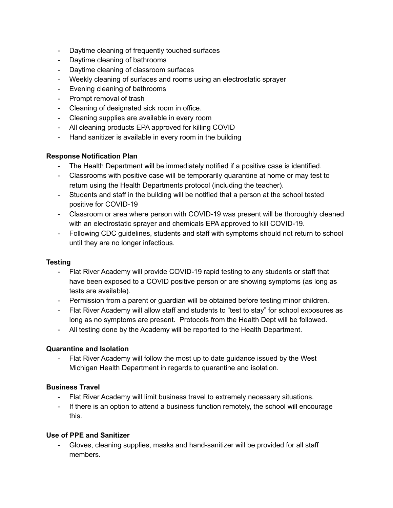- Daytime cleaning of frequently touched surfaces
- Daytime cleaning of bathrooms
- Daytime cleaning of classroom surfaces
- Weekly cleaning of surfaces and rooms using an electrostatic sprayer
- Evening cleaning of bathrooms
- Prompt removal of trash
- Cleaning of designated sick room in office.
- Cleaning supplies are available in every room
- All cleaning products EPA approved for killing COVID
- Hand sanitizer is available in every room in the building

## **Response Notification Plan**

- The Health Department will be immediately notified if a positive case is identified.
- Classrooms with positive case will be temporarily quarantine at home or may test to return using the Health Departments protocol (including the teacher).
- Students and staff in the building will be notified that a person at the school tested positive for COVID-19
- Classroom or area where person with COVID-19 was present will be thoroughly cleaned with an electrostatic sprayer and chemicals EPA approved to kill COVID-19.
- Following CDC guidelines, students and staff with symptoms should not return to school until they are no longer infectious.

## **Testing**

- Flat River Academy will provide COVID-19 rapid testing to any students or staff that have been exposed to a COVID positive person or are showing symptoms (as long as tests are available).
- Permission from a parent or guardian will be obtained before testing minor children.
- Flat River Academy will allow staff and students to "test to stay" for school exposures as long as no symptoms are present. Protocols from the Health Dept will be followed.
- All testing done by the Academy will be reported to the Health Department.

## **Quarantine and Isolation**

Flat River Academy will follow the most up to date guidance issued by the West Michigan Health Department in regards to quarantine and isolation.

## **Business Travel**

- Flat River Academy will limit business travel to extremely necessary situations.
- If there is an option to attend a business function remotely, the school will encourage this.

## **Use of PPE and Sanitizer**

- Gloves, cleaning supplies, masks and hand-sanitizer will be provided for all staff members.